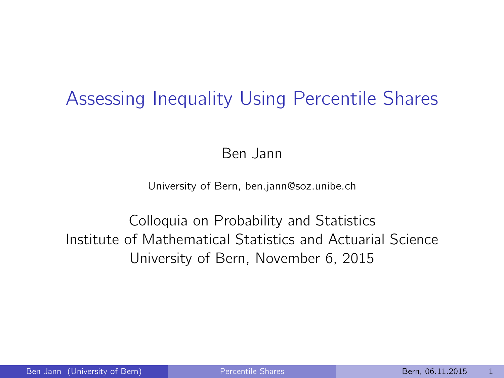#### <span id="page-0-0"></span>Assessing Inequality Using Percentile Shares

Ben Jann

University of Bern, ben.jann@soz.unibe.ch

Colloquia on Probability and Statistics Institute of Mathematical Statistics and Actuarial Science University of Bern, November 6, 2015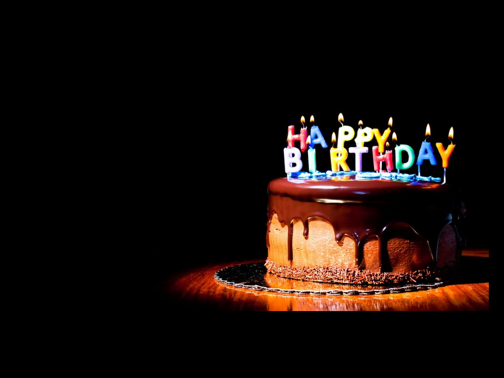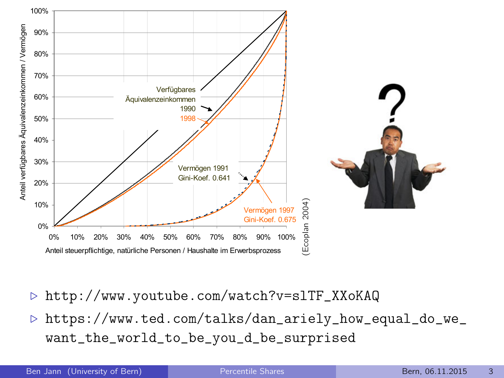

 $\triangleright$  $\triangleright$  [http://www.youtube.com/watch?v=slTF\\_XXoKAQ](http://www.youtube.com/watch?v=slTF_XXoKAQ)

von Leu/Burri/Priester (1997), die über Daten der Vermögens verwögens verwögens verwögens verwögens verwögens

 $\triangleright$  [https://www.ted.com/talks/dan\\_ariely\\_how\\_equal\\_do\\_we\\_](https://www.ted.com/talks/dan_ariely_how_equal_do_we_want_the_world_to_be_you_d_be_surprised) [want\\_the\\_world\\_to\\_be\\_you\\_d\\_be\\_surprised](https://www.ted.com/talks/dan_ariely_how_equal_do_we_want_the_world_to_be_you_d_be_surprised)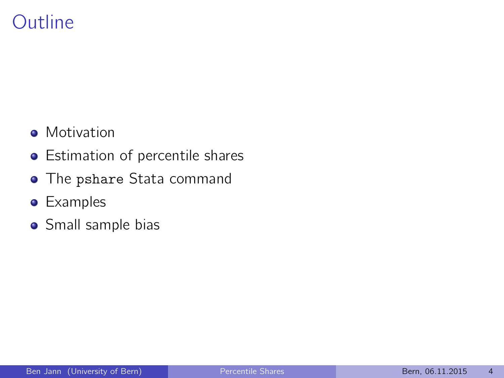## **Outline**

- Motivation
- **•** Estimation of percentile shares
- The pshare Stata command
- **•** Examples
- Small sample bias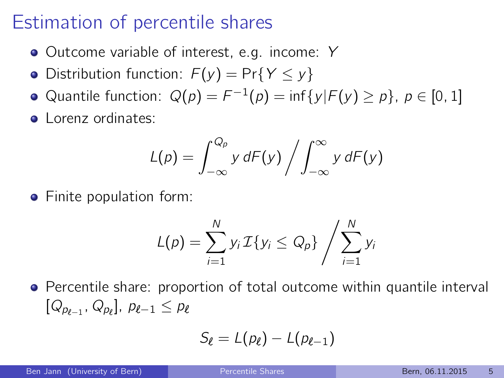#### Estimation of percentile shares

- Outcome variable of interest, e.g. income: Y
- Distribution function:  $F(y) = Pr\{Y \leq y\}$
- Quantile function:  $Q(\rho) = F^{-1}(\rho) = \inf\{y | F(y) \ge \rho\}$ ,  $\rho \in [0, 1]$
- **o** Lorenz ordinates:

$$
L(p) = \int_{-\infty}^{Q_p} y \, dF(y) \bigg/ \int_{-\infty}^{\infty} y \, dF(y)
$$

**•** Finite population form:

$$
L(p) = \sum_{i=1}^N y_i \mathcal{I}\{y_i \leq Q_p\} / \sum_{i=1}^N y_i
$$

Percentile share: proportion of total outcome within quantile interval  $[Q_{\rho_{\ell-1}}, Q_{\rho_{\ell}}], \ \rho_{\ell-1} \leq \rho_{\ell}$ 

$$
S_{\ell} = L(p_{\ell}) - L(p_{\ell-1})
$$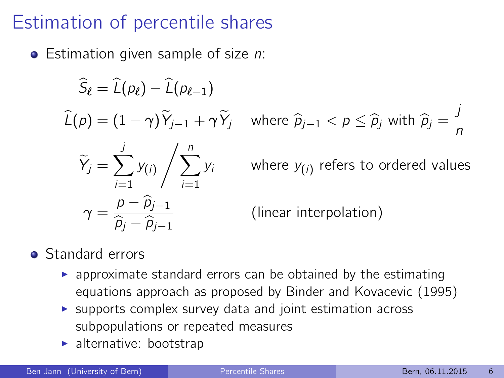## Estimation of percentile shares

 $\bullet$  Estimation given sample of size *n*:

$$
\widehat{S}_{\ell} = \widehat{L}(p_{\ell}) - \widehat{L}(p_{\ell-1})
$$

$$
\widehat{L}(p) = (1 - \gamma)\widetilde{Y}_{j-1} + \gamma\widetilde{Y}_{j}
$$

$$
\widetilde{Y}_{j} = \sum_{i=1}^{j} y_{(i)} / \sum_{i=1}^{n} y_{i}
$$

$$
\gamma = \frac{p - \widehat{p}_{j-1}}{\widehat{p}_{j} - \widehat{p}_{j-1}}
$$

$$
\hat{p}_j
$$
 where  $\hat{p}_{j-1} < p \le \hat{p}_j$  with  $\hat{p}_j = \frac{j}{n}$ 

 $y_i$  where  $y_{(i)}$  refers to ordered values

(linear interpolation)

#### **o** Standard errors

- $\rightarrow$  approximate standard errors can be obtained by the estimating equations approach as proposed by Binder and Kovacevic (1995)
- $\triangleright$  supports complex survey data and joint estimation across subpopulations or repeated measures
- $\blacktriangleright$  alternative: bootstrap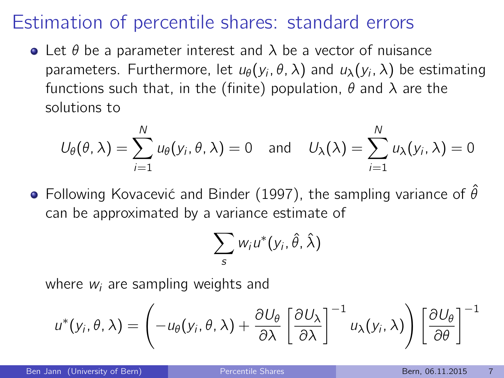#### Estimation of percentile shares: standard errors

• Let  $\theta$  be a parameter interest and  $\lambda$  be a vector of nuisance parameters. Furthermore, let  $u_\theta(y_i,\theta,\lambda)$  and  $u_\lambda(y_i,\lambda)$  be estimating functions such that, in the (finite) population,  $\theta$  and  $\lambda$  are the solutions to

$$
U_{\theta}(\theta,\lambda)=\sum_{i=1}^N u_{\theta}(y_i,\theta,\lambda)=0 \text{ and } U_{\lambda}(\lambda)=\sum_{i=1}^N u_{\lambda}(y_i,\lambda)=0
$$

• Following Kovacević and Binder (1997), the sampling variance of  $\hat{\theta}$ can be approximated by a variance estimate of

$$
\sum_s w_i u^*(y_i, \hat{\theta}, \hat{\lambda})
$$

where  $w_i$  are sampling weights and

$$
u^*(y_i, \theta, \lambda) = \left(-u_{\theta}(y_i, \theta, \lambda) + \frac{\partial U_{\theta}}{\partial \lambda} \left[\frac{\partial U_{\lambda}}{\partial \lambda}\right]^{-1} u_{\lambda}(y_i, \lambda)\right) \left[\frac{\partial U_{\theta}}{\partial \theta}\right]^{-1}
$$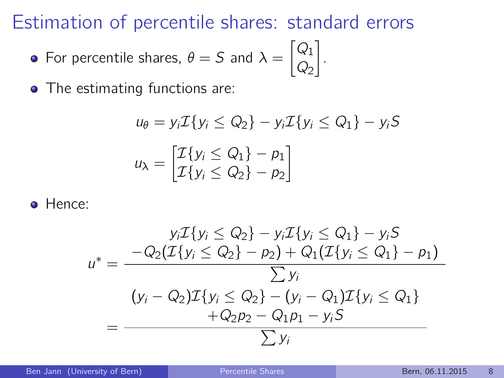Estimation of percentile shares: standard errors

• For percentile shares, 
$$
\theta = S
$$
 and  $\lambda = \begin{bmatrix} Q_1 \\ Q_2 \end{bmatrix}$ .

• The estimating functions are:

$$
u_{\theta} = y_i \mathcal{I}\{y_i \le Q_2\} - y_i \mathcal{I}\{y_i \le Q_1\} - y_i S
$$

$$
u_{\lambda} = \begin{bmatrix} \mathcal{I}\{y_i \le Q_1\} - p_1 \\ \mathcal{I}\{y_i \le Q_2\} - p_2 \end{bmatrix}
$$

Hence:

$$
y_{i}\mathcal{I}\{y_{i} \le Q_{2}\} - y_{i}\mathcal{I}\{y_{i} \le Q_{1}\} - y_{i}S
$$
\n
$$
u^{*} = \frac{-Q_{2}(\mathcal{I}\{y_{i} \le Q_{2}\} - p_{2}) + Q_{1}(\mathcal{I}\{y_{i} \le Q_{1}\} - p_{1})}{\sum y_{i}}
$$
\n
$$
(y_{i} - Q_{2})\mathcal{I}\{y_{i} \le Q_{2}\} - (y_{i} - Q_{1})\mathcal{I}\{y_{i} \le Q_{1}\}
$$
\n
$$
+Q_{2}p_{2} - Q_{1}p_{1} - y_{i}S
$$
\n
$$
\sum y_{i}
$$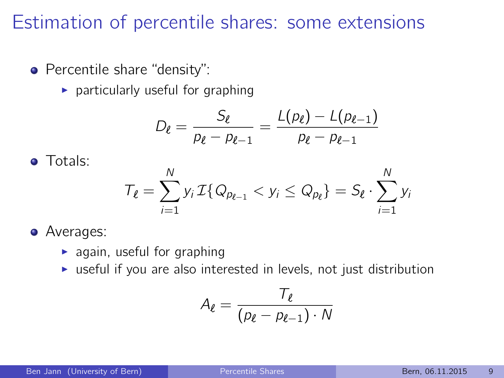#### Estimation of percentile shares: some extensions

- Percentile share "density":
	- $\blacktriangleright$  particularly useful for graphing

$$
D_{\ell} = \frac{S_{\ell}}{p_{\ell} - p_{\ell-1}} = \frac{L(p_{\ell}) - L(p_{\ell-1})}{p_{\ell} - p_{\ell-1}}
$$

**o** Totals:

$$
\mathcal{T}_{\ell} = \sum_{i=1}^N y_i \mathcal{I}\{Q_{p_{\ell-1}} < y_i \leq Q_{p_{\ell}}\} = \mathcal{S}_{\ell} \cdot \sum_{i=1}^N y_i
$$

• Averages:

- $\blacktriangleright$  again, useful for graphing
- $\triangleright$  useful if you are also interested in levels, not just distribution

$$
A_{\ell} = \frac{T_{\ell}}{(p_{\ell} - p_{\ell-1}) \cdot N}
$$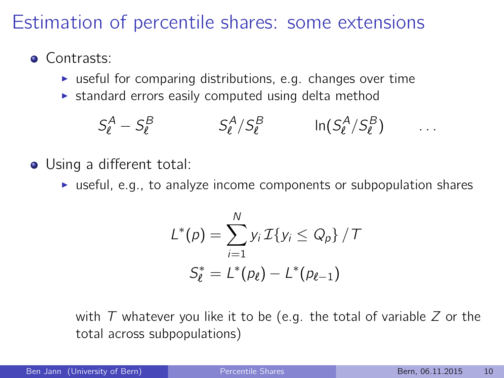## Estimation of percentile shares: some extensions

- Contrasts:
	- $\triangleright$  useful for comparing distributions, e.g. changes over time
	- $\triangleright$  standard errors easily computed using delta method

$$
S_{\ell}^A - S_{\ell}^B \qquad S_{\ell}^A / S_{\ell}^B \qquad \ln(S_{\ell}^A / S_{\ell}^B) \qquad \ldots
$$

- Using a different total:
	- $\triangleright$  useful, e.g., to analyze income components or subpopulation shares

$$
L^*(p) = \sum_{i=1}^N y_i \mathcal{I}\{y_i \le Q_p\} / \mathcal{T}
$$

$$
S_{\ell}^* = L^*(p_{\ell}) - L^*(p_{\ell-1})
$$

with  $T$  whatever you like it to be (e.g. the total of variable  $Z$  or the total across subpopulations)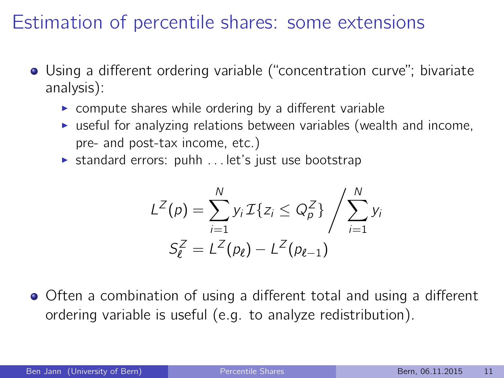## Estimation of percentile shares: some extensions

- Using a different ordering variable ("concentration curve"; bivariate analysis):
	- $\triangleright$  compute shares while ordering by a different variable
	- $\triangleright$  useful for analyzing relations between variables (wealth and income, pre- and post-tax income, etc.)
	- $\triangleright$  standard errors: puhh ... let's just use bootstrap

$$
L^{Z}(p) = \sum_{i=1}^{N} y_{i} \mathcal{I}\{z_{i} \leq Q_{p}^{Z}\} / \sum_{i=1}^{N} y_{i}
$$
  

$$
S_{\ell}^{Z} = L^{Z}(p_{\ell}) - L^{Z}(p_{\ell-1})
$$

Often a combination of using a different total and using a different ordering variable is useful (e.g. to analyze redistribution).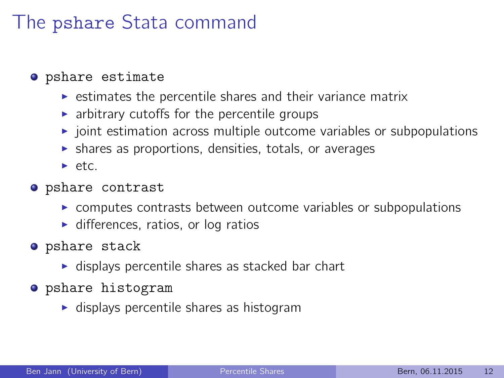## The pshare Stata command

#### $\circ$  pshare estimate

- $\triangleright$  estimates the percentile shares and their variance matrix
- $\triangleright$  arbitrary cutoffs for the percentile groups
- $\triangleright$  joint estimation across multiple outcome variables or subpopulations
- $\triangleright$  shares as proportions, densities, totals, or averages
- $\blacktriangleright$  etc.
- pshare contrast
	- $\triangleright$  computes contrasts between outcome variables or subpopulations
	- $\blacktriangleright$  differences, ratios, or log ratios
- **o** pshare stack
	- $\blacktriangleright$  displays percentile shares as stacked bar chart
- pshare histogram
	- $\blacktriangleright$  displays percentile shares as histogram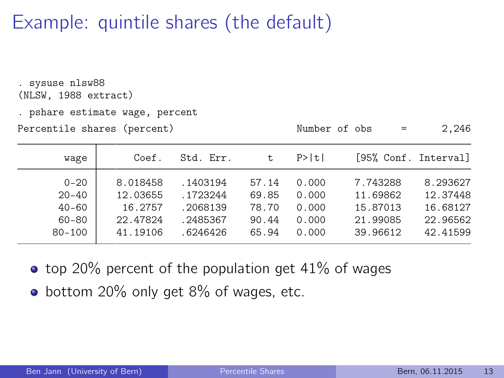Example: quintile shares (the default)

. sysuse nlsw88 (NLSW, 1988 extract)

. pshare estimate wage, percent

Percentile shares (percent) Number of obs = 2,246

| wage       | Coef.    | Std. Err. | t.    | P>  t |          | [95% Conf. Interval] |
|------------|----------|-----------|-------|-------|----------|----------------------|
| $0 - 20$   | 8.018458 | .1403194  | 57.14 | 0.000 | 7.743288 | 8.293627             |
| $20 - 40$  | 12.03655 | .1723244  | 69.85 | 0.000 | 11.69862 | 12.37448             |
| $40 - 60$  | 16.2757  | .2068139  | 78.70 | 0.000 | 15.87013 | 16.68127             |
| $60 - 80$  | 22.47824 | .2485367  | 90.44 | 0.000 | 21.99085 | 22.96562             |
| $80 - 100$ | 41.19106 | .6246426  | 65.94 | 0.000 | 39.96612 | 42.41599             |

 $\bullet$  top 20% percent of the population get 41% of wages

 $\bullet$  bottom 20% only get 8% of wages, etc.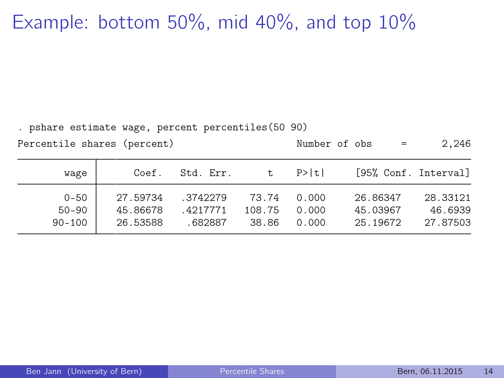## Example: bottom 50%, mid 40%, and top 10%

. pshare estimate wage, percent percentiles(50 90)

| Percentile shares (percent) |          |           |        | Number of obs |          | $=$ | 2.246                |
|-----------------------------|----------|-----------|--------|---------------|----------|-----|----------------------|
| wage                        | Coef.    | Std. Err. | t      | P>  t         |          |     | [95% Conf. Interval] |
| $0 - 50$                    | 27.59734 | .3742279  | 73.74  | 0.000         | 26.86347 |     | 28.33121             |
| $50 - 90$                   | 45.86678 | .4217771  | 108.75 | 0.000         | 45.03967 |     | 46.6939              |
| $90 - 100$                  | 26.53588 | .682887   | 38.86  | 0.000         | 25.19672 |     | 27.87503             |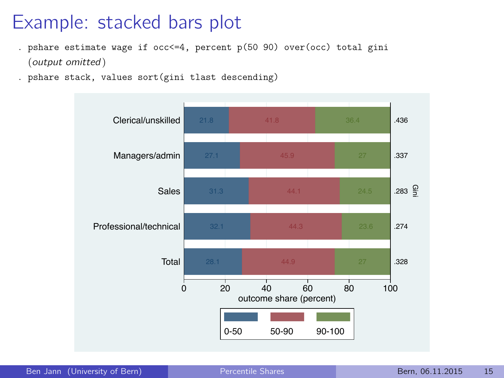#### Example: stacked bars plot

- . pshare estimate wage if  $occ \leq 4$ , percent p(50 90) over(occ) total gini (output omitted )
- . pshare stack, values sort(gini tlast descending)

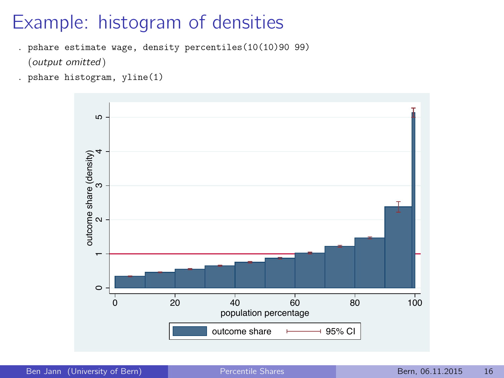# Example: histogram of densities

. pshare estimate wage, density percentiles(10(10)90 99)

(output omitted )

. pshare histogram, yline(1)

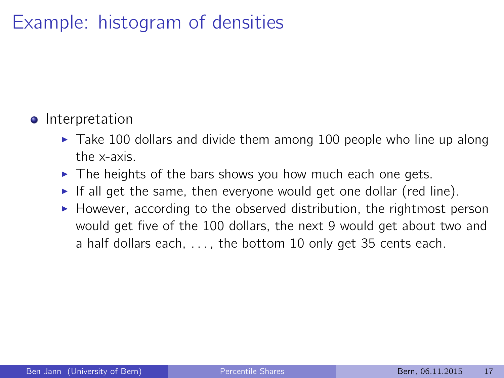## Example: histogram of densities

#### **o** Interpretation

- $\blacktriangleright$  Take 100 dollars and divide them among 100 people who line up along the x-axis.
- $\triangleright$  The heights of the bars shows you how much each one gets.
- If all get the same, then everyone would get one dollar (red line).
- $\blacktriangleright$  However, according to the observed distribution, the rightmost person would get five of the 100 dollars, the next 9 would get about two and a half dollars each, . . . , the bottom 10 only get 35 cents each.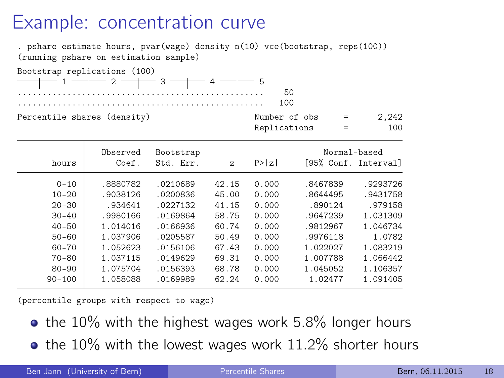#### Example: concentration curve

| . pshare estimate hours, pvar(wage) density $n(10)$ vce(bootstrap, reps(100))<br>(running pshare on estimation sample) |          |           |             |                               |          |   |                      |
|------------------------------------------------------------------------------------------------------------------------|----------|-----------|-------------|-------------------------------|----------|---|----------------------|
| Bootstrap replications (100)                                                                                           | $2 -$    | $3 -$     | $4 -$       | 5<br>50<br>100                |          |   |                      |
| Percentile shares (density)                                                                                            |          |           |             | Number of obs<br>Replications |          | = | 2,242<br>100         |
|                                                                                                                        | Observed | Bootstrap |             |                               |          |   | Normal-based         |
| hours                                                                                                                  | Coef.    | Std. Err. | $Z_{\rm c}$ | P >  z                        |          |   | [95% Conf. Interval] |
| $0 - 10$                                                                                                               | .8880782 | .0210689  | 42.15       | 0.000                         | .8467839 |   | .9293726             |
| $10 - 20$                                                                                                              | .9038126 | .0200836  | 45.00       | 0.000                         | .8644495 |   | .9431758             |
| $20 - 30$                                                                                                              | .934641  | .0227132  | 41.15       | 0.000                         | .890124  |   | .979158              |
| $30 - 40$                                                                                                              | .9980166 | .0169864  | 58.75       | 0.000                         | .9647239 |   | 1.031309             |
| $40 - 50$                                                                                                              | 1.014016 | .0166936  | 60.74       | 0.000                         | .9812967 |   | 1.046734             |
| $50 - 60$                                                                                                              | 1.037906 | .0205587  | 50.49       | 0.000                         | .9976118 |   | 1.0782               |
| $60 - 70$                                                                                                              | 1.052623 | .0156106  | 67.43       | 0.000                         | 1.022027 |   | 1.083219             |
| $70 - 80$                                                                                                              | 1.037115 | .0149629  | 69.31       | 0.000                         | 1.007788 |   | 1.066442             |
| $80 - 90$                                                                                                              | 1.075704 | .0156393  | 68.78       | 0.000                         | 1.045052 |   | 1.106357             |
| $90 - 100$                                                                                                             | 1.058088 | .0169989  | 62.24       | 0.000                         | 1.02477  |   | 1.091405             |

(percentile groups with respect to wage)

- $\bullet$  the 10% with the highest wages work 5.8% longer hours
- $\bullet$  the 10% with the lowest wages work 11.2% shorter hours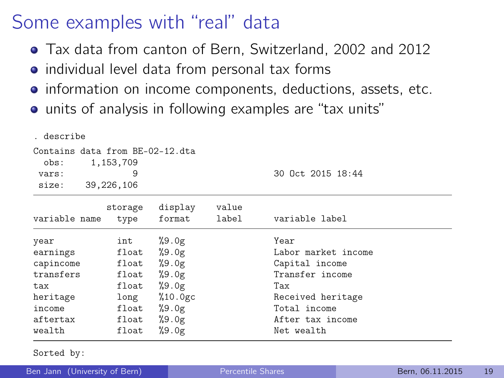#### Some examples with "real" data

- Tax data from canton of Bern, Switzerland, 2002 and 2012
- individual level data from personal tax forms
- **•** information on income components, deductions, assets, etc.
- units of analysis in following examples are "tax units"

| . describe                                                                                    |                                                                            |                                                                                 |                |                                                                                                                                                |
|-----------------------------------------------------------------------------------------------|----------------------------------------------------------------------------|---------------------------------------------------------------------------------|----------------|------------------------------------------------------------------------------------------------------------------------------------------------|
| Contains data from BE-02-12.dta<br>obs:<br>vars:<br>size:                                     | 1,153,709<br>9<br>39,226,106                                               |                                                                                 |                | $30$ Oct $2015$ $18:44$                                                                                                                        |
| variable name                                                                                 | storage<br>type                                                            | display<br>format                                                               | value<br>label | variable label                                                                                                                                 |
| year<br>earnings<br>capincome<br>transfers<br>tax<br>heritage<br>income<br>aftertax<br>wealth | int<br>float<br>float<br>float<br>float<br>long<br>float<br>float<br>float | %9.0g<br>%9.0g<br>%9.0g<br>%9.0g<br>%9.0g<br>%10.0gc<br>%9.0g<br>%9.0g<br>%9.0g |                | Year<br>Labor market income<br>Capital income<br>Transfer income<br>Tax<br>Received heritage<br>Total income<br>After tax income<br>Net wealth |

Sorted by: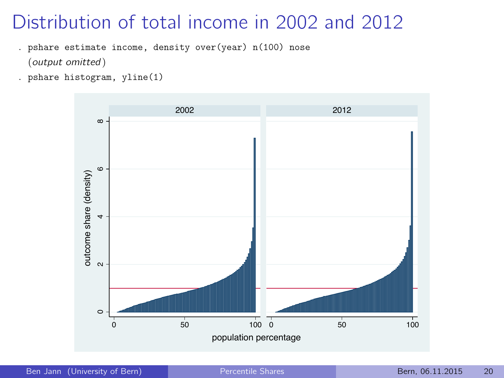## Distribution of total income in 2002 and 2012

- . pshare estimate income, density over(year) n(100) nose
	- (output omitted )
- . pshare histogram, yline(1)

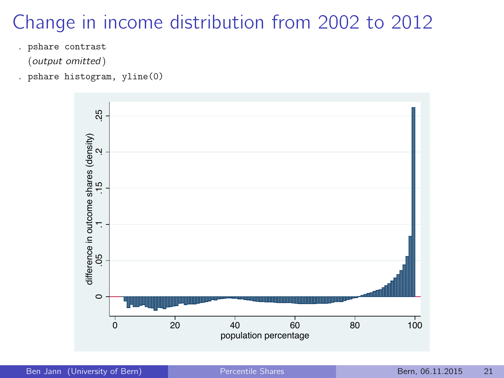## Change in income distribution from 2002 to 2012

- . pshare contrast
	- (output omitted )
- . pshare histogram, yline(0)

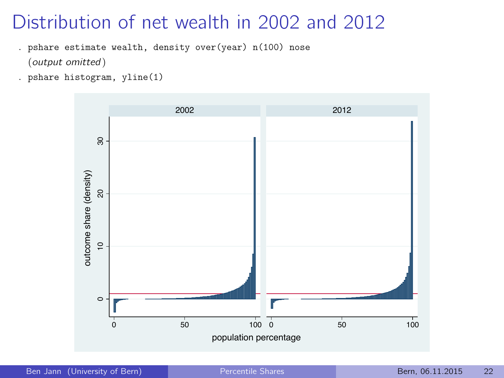### Distribution of net wealth in 2002 and 2012

- . pshare estimate wealth, density over(year) n(100) nose
	- (output omitted )
- . pshare histogram, yline(1)

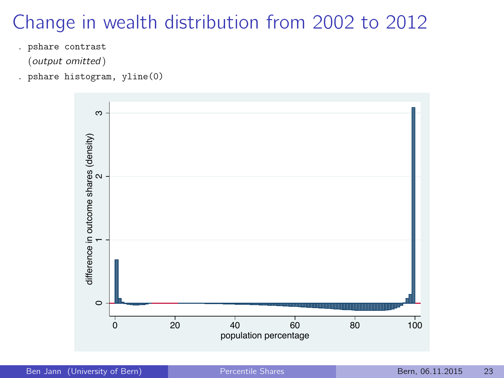## Change in wealth distribution from 2002 to 2012

- . pshare contrast
	- (output omitted )
- . pshare histogram, yline(0)

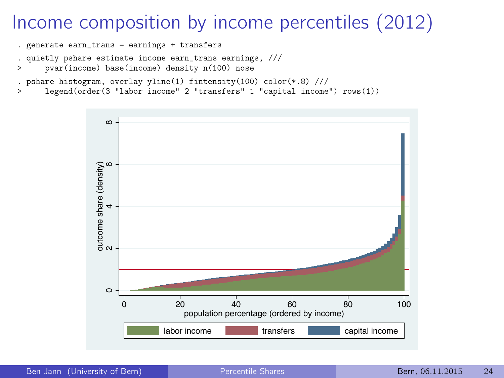#### Income composition by income percentiles (2012)

```
. generate earn_trans = earnings + transfers
```

```
. quietly pshare estimate income earn_trans earnings, ///
```

```
> pvar(income) base(income) density n(100) nose
```

```
. pshare histogram, overlay yline(1) fintensity(100) color(*.8) ///
```

```
> legend(order(3 "labor income" 2 "transfers" 1 "capital income") rows(1))
```
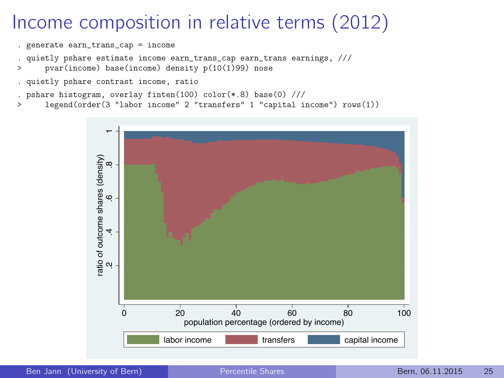#### Income composition in relative terms (2012)

```
. generate earn_trans_cap = income
```

```
. quietly pshare estimate income earn_trans_cap earn_trans earnings, ///
```

```
pvar(income) base(income) density p(10(1)99) nose
```

```
. quietly pshare contrast income, ratio
```

```
. pshare histogram, overlay finten(100) color(*.8) base(0) ///<br>
\geq legand(order(3 "labor income" 2 "transfere" 1 "capital is
```

```
> legend(order(3 "labor income" 2 "transfers" 1 "capital income") rows(1))
```
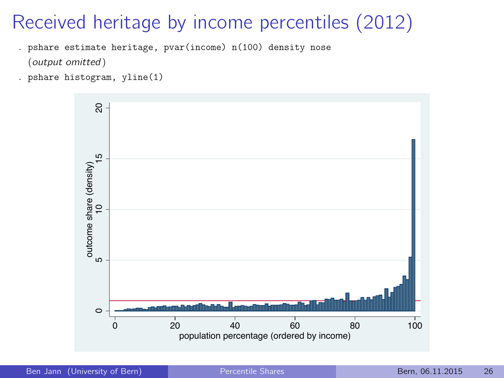## Received heritage by income percentiles (2012)

. pshare estimate heritage, pvar(income) n(100) density nose

(output omitted )

. pshare histogram, yline(1)

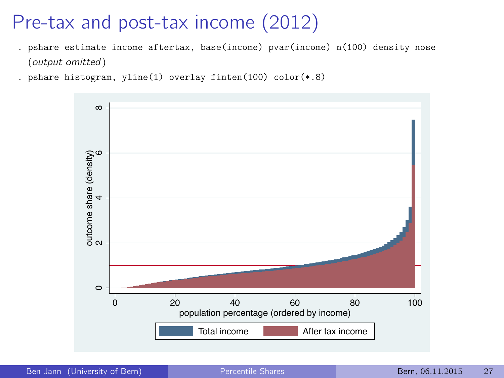## Pre-tax and post-tax income (2012)

- . pshare estimate income aftertax, base(income) pvar(income) n(100) density nose (output omitted )
- . pshare histogram, yline(1) overlay finten(100) color(\*.8)



Ben Jann (University of Bern) **[Percentile Shares](#page-0-0)** Bern, 06.11.2015 27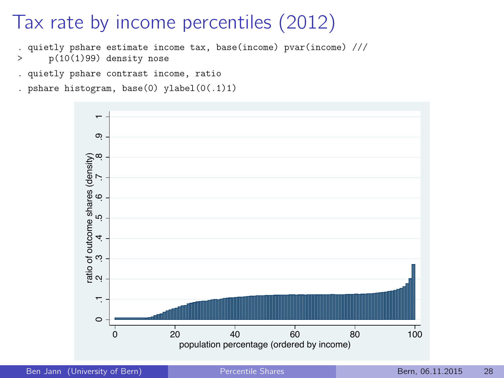### Tax rate by income percentiles (2012)

. quietly pshare estimate income tax, base(income) pvar(income) ///

- $p(10(1)99)$  density nose
- . quietly pshare contrast income, ratio

. pshare histogram, base(0) ylabel(0(.1)1)

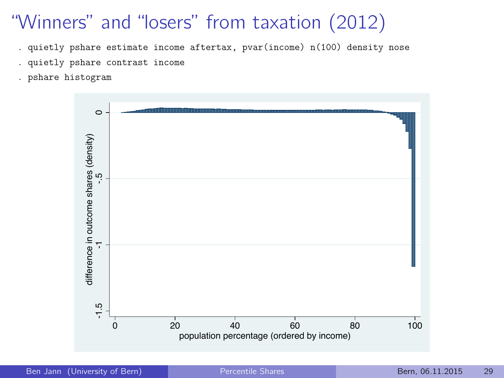## "Winners" and "losers" from taxation (2012)

- . quietly pshare estimate income aftertax, pvar(income) n(100) density nose
- . quietly pshare contrast income
- . pshare histogram

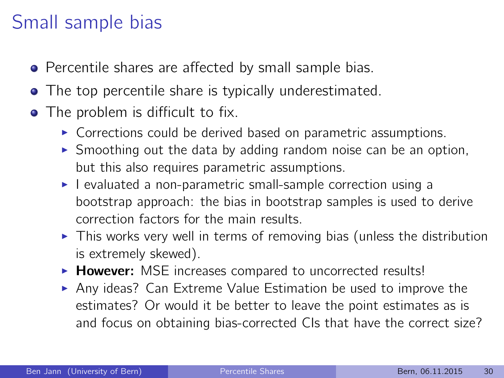## Small sample bias

- **•** Percentile shares are affected by small sample bias.
- The top percentile share is typically underestimated.
- The problem is difficult to fix.
	- $\triangleright$  Corrections could be derived based on parametric assumptions.
	- $\triangleright$  Smoothing out the data by adding random noise can be an option, but this also requires parametric assumptions.
	- $\blacktriangleright$  I evaluated a non-parametric small-sample correction using a bootstrap approach: the bias in bootstrap samples is used to derive correction factors for the main results.
	- $\triangleright$  This works very well in terms of removing bias (unless the distribution is extremely skewed).
	- $\triangleright$  However: MSE increases compared to uncorrected results!
	- $\triangleright$  Any ideas? Can Extreme Value Estimation be used to improve the estimates? Or would it be better to leave the point estimates as is and focus on obtaining bias-corrected CIs that have the correct size?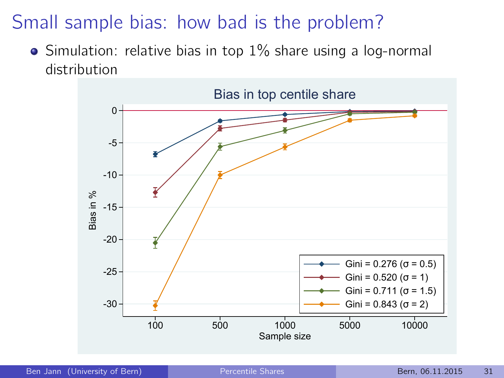### Small sample bias: how bad is the problem?

 $\bullet$  Simulation: relative bias in top  $1\%$  share using a log-normal distribution

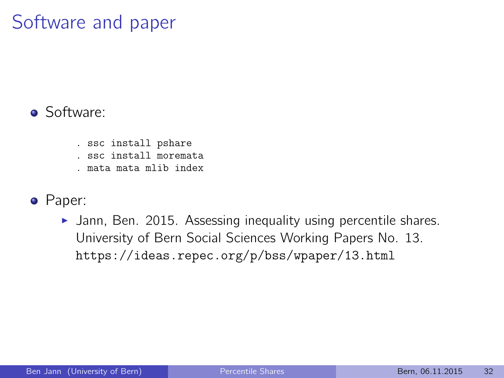## Software and paper

#### Software:

- . ssc install pshare
- . ssc install moremata
- . mata mata mlib index
- Paper:
	- $\blacktriangleright$  Jann, Ben. 2015. Assessing inequality using percentile shares. University of Bern Social Sciences Working Papers No. 13. <https://ideas.repec.org/p/bss/wpaper/13.html>